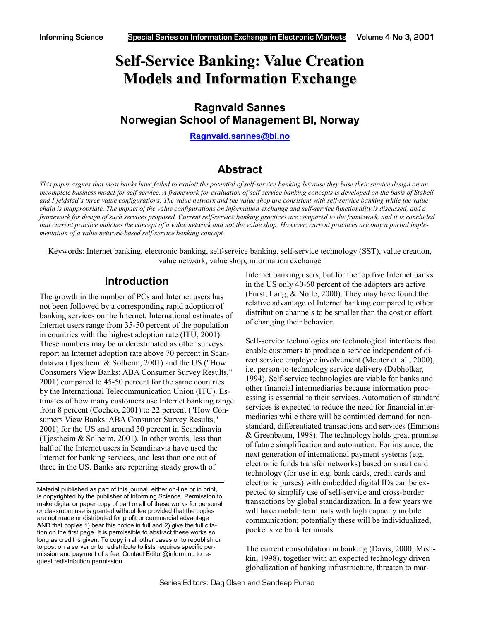# **Self-Service Banking: Value Creation Models and Information Exchange**

## **Ragnvald Sannes Norwegian School of Management BI, Norway**

**[Ragnvald.sannes@bi.no](mailto:Ragnvald.Sannes@bi.no)**

### **Abstract**

*This paper argues that most banks have failed to exploit the potential of self-service banking because they base their service design on an incomplete business model for self-service. A framework for evaluation of self-service banking concepts is developed on the basis of Stabell and Fjeldstad's three value configurations. The value network and the value shop are consistent with self-service banking while the value chain is inappropriate. The impact of the value configurations on information exchange and self-service functionality is discussed, and a framework for design of such services proposed. Current self-service banking practices are compared to the framework, and it is concluded that current practice matches the concept of a value network and not the value shop. However, current practices are only a partial implementation of a value network-based self-service banking concept.* 

Keywords: Internet banking, electronic banking, self-service banking, self-service technology (SST), value creation, value network, value shop, information exchange

### **Introduction**

The growth in the number of PCs and Internet users has not been followed by a corresponding rapid adoption of banking services on the Internet. International estimates of Internet users range from 35-50 percent of the population in countries with the highest adoption rate (ITU, 2001). These numbers may be underestimated as other surveys report an Internet adoption rate above 70 percent in Scandinavia (Tjøstheim & Solheim, 2001) and the US ("How Consumers View Banks: ABA Consumer Survey Results," 2001) compared to 45-50 percent for the same countries by the International Telecommunication Union (ITU). Estimates of how many customers use Internet banking range from 8 percent (Cocheo, 2001) to 22 percent ("How Consumers View Banks: ABA Consumer Survey Results," 2001) for the US and around 30 percent in Scandinavia (Tjøstheim & Solheim, 2001). In other words, less than half of the Internet users in Scandinavia have used the Internet for banking services, and less than one out of three in the US. Banks are reporting steady growth of

Internet banking users, but for the top five Internet banks in the US only 40-60 percent of the adopters are active (Furst, Lang, & Nolle, 2000). They may have found the relative advantage of Internet banking compared to other distribution channels to be smaller than the cost or effort of changing their behavior.

Self-service technologies are technological interfaces that enable customers to produce a service independent of direct service employee involvement (Meuter et. al., 2000), i.e. person-to-technology service delivery (Dabholkar, 1994). Self-service technologies are viable for banks and other financial intermediaries because information processing is essential to their services. Automation of standard services is expected to reduce the need for financial intermediaries while there will be continued demand for nonstandard, differentiated transactions and services (Emmons & Greenbaum, 1998). The technology holds great promise of future simplification and automation. For instance, the next generation of international payment systems (e.g. electronic funds transfer networks) based on smart card technology (for use in e.g. bank cards, credit cards and electronic purses) with embedded digital IDs can be expected to simplify use of self-service and cross-border transactions by global standardization. In a few years we will have mobile terminals with high capacity mobile communication; potentially these will be individualized, pocket size bank terminals.

The current consolidation in banking (Davis, 2000; Mishkin, 1998), together with an expected technology driven globalization of banking infrastructure, threaten to mar-

Material published as part of this journal, either on-line or in print, is copyrighted by the publisher of Informing Science. Permission to make digital or paper copy of part or all of these works for personal or classroom use is granted without fee provided that the copies are not made or distributed for profit or commercial advantage AND that copies 1) bear this notice in full and 2) give the full citation on the first page. It is permissible to abstract these works so long as credit is given. To copy in all other cases or to republish or to post on a server or to redistribute to lists requires specific permission and payment of a fee. Contact Editor@inform.nu to request redistribution permission.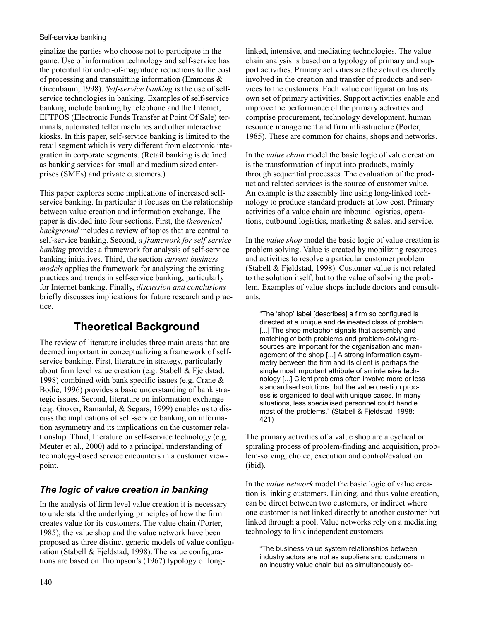ginalize the parties who choose not to participate in the game. Use of information technology and self-service has the potential for order-of-magnitude reductions to the cost of processing and transmitting information (Emmons & Greenbaum, 1998). *Self-service banking* is the use of selfservice technologies in banking. Examples of self-service banking include banking by telephone and the Internet, EFTPOS (Electronic Funds Transfer at Point Of Sale) terminals, automated teller machines and other interactive kiosks. In this paper, self-service banking is limited to the retail segment which is very different from electronic integration in corporate segments. (Retail banking is defined as banking services for small and medium sized enterprises (SMEs) and private customers.)

This paper explores some implications of increased selfservice banking. In particular it focuses on the relationship between value creation and information exchange. The paper is divided into four sections. First, the *theoretical background* includes a review of topics that are central to self-service banking. Second, *a framework for self-service banking* provides a framework for analysis of self-service banking initiatives. Third, the section *current business models* applies the framework for analyzing the existing practices and trends in self-service banking, particularly for Internet banking. Finally, *discussion and conclusions* briefly discusses implications for future research and practice.

# **Theoretical Background**

The review of literature includes three main areas that are deemed important in conceptualizing a framework of selfservice banking. First, literature in strategy, particularly about firm level value creation (e.g. Stabell & Fjeldstad, 1998) combined with bank specific issues (e.g. Crane & Bodie, 1996) provides a basic understanding of bank strategic issues. Second, literature on information exchange (e.g. Grover, Ramanlal, & Segars, 1999) enables us to discuss the implications of self-service banking on information asymmetry and its implications on the customer relationship. Third, literature on self-service technology (e.g. Meuter et al., 2000) add to a principal understanding of technology-based service encounters in a customer viewpoint.

### *The logic of value creation in banking*

In the analysis of firm level value creation it is necessary to understand the underlying principles of how the firm creates value for its customers. The value chain (Porter, 1985), the value shop and the value network have been proposed as three distinct generic models of value configuration (Stabell & Fjeldstad, 1998). The value configurations are based on Thompson's (1967) typology of longlinked, intensive, and mediating technologies. The value chain analysis is based on a typology of primary and support activities. Primary activities are the activities directly involved in the creation and transfer of products and services to the customers. Each value configuration has its own set of primary activities. Support activities enable and improve the performance of the primary activities and comprise procurement, technology development, human resource management and firm infrastructure (Porter, 1985). These are common for chains, shops and networks.

In the *value chain* model the basic logic of value creation is the transformation of input into products, mainly through sequential processes. The evaluation of the product and related services is the source of customer value. An example is the assembly line using long-linked technology to produce standard products at low cost. Primary activities of a value chain are inbound logistics, operations, outbound logistics, marketing & sales, and service.

In the *value shop* model the basic logic of value creation is problem solving. Value is created by mobilizing resources and activities to resolve a particular customer problem (Stabell & Fjeldstad, 1998). Customer value is not related to the solution itself, but to the value of solving the problem. Examples of value shops include doctors and consultants.

"The 'shop' label [describes] a firm so configured is directed at a unique and delineated class of problem [...] The shop metaphor signals that assembly and matching of both problems and problem-solving resources are important for the organisation and management of the shop [...] A strong information asymmetry between the firm and its client is perhaps the single most important attribute of an intensive technology [...] Client problems often involve more or less standardised solutions, but the value creation process is organised to deal with unique cases. In many situations, less specialised personnel could handle most of the problems." (Stabell & Fjeldstad, 1998: 421)

The primary activities of a value shop are a cyclical or spiraling process of problem-finding and acquisition, problem-solving, choice, execution and control/evaluation (ibid).

In the *value network* model the basic logic of value creation is linking customers. Linking, and thus value creation, can be direct between two customers, or indirect where one customer is not linked directly to another customer but linked through a pool. Value networks rely on a mediating technology to link independent customers.

"The business value system relationships between industry actors are not as suppliers and customers in an industry value chain but as simultaneously co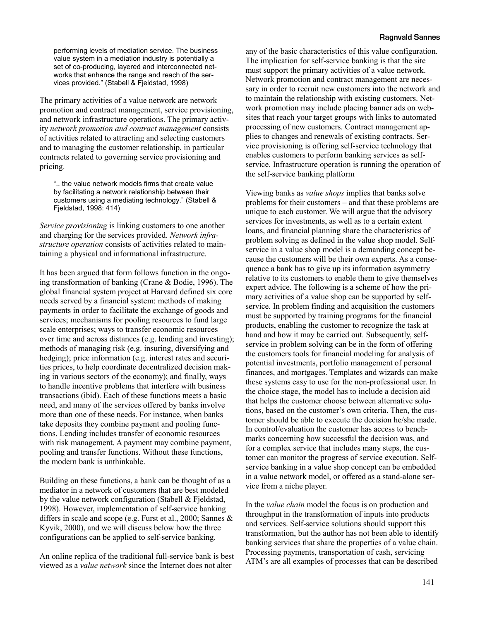performing levels of mediation service. The business value system in a mediation industry is potentially a set of co-producing, layered and interconnected networks that enhance the range and reach of the services provided." (Stabell & Fjeldstad, 1998)

The primary activities of a value network are network promotion and contract management, service provisioning, and network infrastructure operations. The primary activity *network promotion and contract management* consists of activities related to attracting and selecting customers and to managing the customer relationship, in particular contracts related to governing service provisioning and pricing.

".. the value network models firms that create value by facilitating a network relationship between their customers using a mediating technology." (Stabell & Fjeldstad, 1998: 414)

*Service provisioning* is linking customers to one another and charging for the services provided. *Network infrastructure operation* consists of activities related to maintaining a physical and informational infrastructure.

It has been argued that form follows function in the ongoing transformation of banking (Crane & Bodie, 1996). The global financial system project at Harvard defined six core needs served by a financial system: methods of making payments in order to facilitate the exchange of goods and services; mechanisms for pooling resources to fund large scale enterprises; ways to transfer economic resources over time and across distances (e.g. lending and investing); methods of managing risk (e.g. insuring, diversifying and hedging); price information (e.g. interest rates and securities prices, to help coordinate decentralized decision making in various sectors of the economy); and finally, ways to handle incentive problems that interfere with business transactions (ibid). Each of these functions meets a basic need, and many of the services offered by banks involve more than one of these needs. For instance, when banks take deposits they combine payment and pooling functions. Lending includes transfer of economic resources with risk management. A payment may combine payment, pooling and transfer functions. Without these functions, the modern bank is unthinkable.

Building on these functions, a bank can be thought of as a mediator in a network of customers that are best modeled by the value network configuration (Stabell & Fjeldstad, 1998). However, implementation of self-service banking differs in scale and scope (e.g. Furst et al., 2000; Sannes & Kyvik, 2000), and we will discuss below how the three configurations can be applied to self-service banking.

An online replica of the traditional full-service bank is best viewed as a *value network* since the Internet does not alter

any of the basic characteristics of this value configuration. The implication for self-service banking is that the site must support the primary activities of a value network. Network promotion and contract management are necessary in order to recruit new customers into the network and to maintain the relationship with existing customers. Network promotion may include placing banner ads on websites that reach your target groups with links to automated processing of new customers. Contract management applies to changes and renewals of existing contracts. Service provisioning is offering self-service technology that enables customers to perform banking services as selfservice. Infrastructure operation is running the operation of the self-service banking platform

Viewing banks as *value shops* implies that banks solve problems for their customers – and that these problems are unique to each customer. We will argue that the advisory services for investments, as well as to a certain extent loans, and financial planning share the characteristics of problem solving as defined in the value shop model. Selfservice in a value shop model is a demanding concept because the customers will be their own experts. As a consequence a bank has to give up its information asymmetry relative to its customers to enable them to give themselves expert advice. The following is a scheme of how the primary activities of a value shop can be supported by selfservice. In problem finding and acquisition the customers must be supported by training programs for the financial products, enabling the customer to recognize the task at hand and how it may be carried out. Subsequently, selfservice in problem solving can be in the form of offering the customers tools for financial modeling for analysis of potential investments, portfolio management of personal finances, and mortgages. Templates and wizards can make these systems easy to use for the non-professional user. In the choice stage, the model has to include a decision aid that helps the customer choose between alternative solutions, based on the customer's own criteria. Then, the customer should be able to execute the decision he/she made. In control/evaluation the customer has access to benchmarks concerning how successful the decision was, and for a complex service that includes many steps, the customer can monitor the progress of service execution. Selfservice banking in a value shop concept can be embedded in a value network model, or offered as a stand-alone service from a niche player.

In the *value chain* model the focus is on production and throughput in the transformation of inputs into products and services. Self-service solutions should support this transformation, but the author has not been able to identify banking services that share the properties of a value chain. Processing payments, transportation of cash, servicing ATM's are all examples of processes that can be described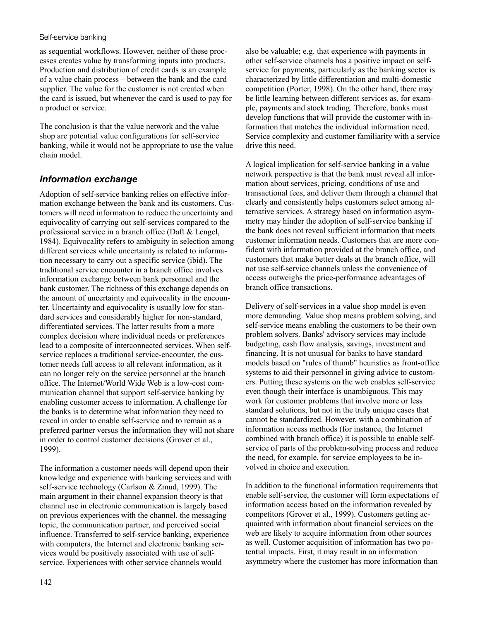as sequential workflows. However, neither of these processes creates value by transforming inputs into products. Production and distribution of credit cards is an example of a value chain process – between the bank and the card supplier. The value for the customer is not created when the card is issued, but whenever the card is used to pay for a product or service.

The conclusion is that the value network and the value shop are potential value configurations for self-service banking, while it would not be appropriate to use the value chain model.

#### *Information exchange*

Adoption of self-service banking relies on effective information exchange between the bank and its customers. Customers will need information to reduce the uncertainty and equivocality of carrying out self-services compared to the professional service in a branch office (Daft & Lengel, 1984). Equivocality refers to ambiguity in selection among different services while uncertainty is related to information necessary to carry out a specific service (ibid). The traditional service encounter in a branch office involves information exchange between bank personnel and the bank customer. The richness of this exchange depends on the amount of uncertainty and equivocality in the encounter. Uncertainty and equivocality is usually low for standard services and considerably higher for non-standard, differentiated services. The latter results from a more complex decision where individual needs or preferences lead to a composite of interconnected services. When selfservice replaces a traditional service-encounter, the customer needs full access to all relevant information, as it can no longer rely on the service personnel at the branch office. The Internet/World Wide Web is a low-cost communication channel that support self-service banking by enabling customer access to information. A challenge for the banks is to determine what information they need to reveal in order to enable self-service and to remain as a preferred partner versus the information they will not share in order to control customer decisions (Grover et al., 1999).

The information a customer needs will depend upon their knowledge and experience with banking services and with self-service technology (Carlson & Zmud, 1999). The main argument in their channel expansion theory is that channel use in electronic communication is largely based on previous experiences with the channel, the messaging topic, the communication partner, and perceived social influence. Transferred to self-service banking, experience with computers, the Internet and electronic banking services would be positively associated with use of selfservice. Experiences with other service channels would

also be valuable; e.g. that experience with payments in other self-service channels has a positive impact on selfservice for payments, particularly as the banking sector is characterized by little differentiation and multi-domestic competition (Porter, 1998). On the other hand, there may be little learning between different services as, for example, payments and stock trading. Therefore, banks must develop functions that will provide the customer with information that matches the individual information need. Service complexity and customer familiarity with a service drive this need.

A logical implication for self-service banking in a value network perspective is that the bank must reveal all information about services, pricing, conditions of use and transactional fees, and deliver them through a channel that clearly and consistently helps customers select among alternative services. A strategy based on information asymmetry may hinder the adoption of self-service banking if the bank does not reveal sufficient information that meets customer information needs. Customers that are more confident with information provided at the branch office, and customers that make better deals at the branch office, will not use self-service channels unless the convenience of access outweighs the price-performance advantages of branch office transactions.

Delivery of self-services in a value shop model is even more demanding. Value shop means problem solving, and self-service means enabling the customers to be their own problem solvers. Banks' advisory services may include budgeting, cash flow analysis, savings, investment and financing. It is not unusual for banks to have standard models based on "rules of thumb" heuristics as front-office systems to aid their personnel in giving advice to customers. Putting these systems on the web enables self-service even though their interface is unambiguous. This may work for customer problems that involve more or less standard solutions, but not in the truly unique cases that cannot be standardized. However, with a combination of information access methods (for instance, the Internet combined with branch office) it is possible to enable selfservice of parts of the problem-solving process and reduce the need, for example, for service employees to be involved in choice and execution.

In addition to the functional information requirements that enable self-service, the customer will form expectations of information access based on the information revealed by competitors (Grover et al., 1999). Customers getting acquainted with information about financial services on the web are likely to acquire information from other sources as well. Customer acquisition of information has two potential impacts. First, it may result in an information asymmetry where the customer has more information than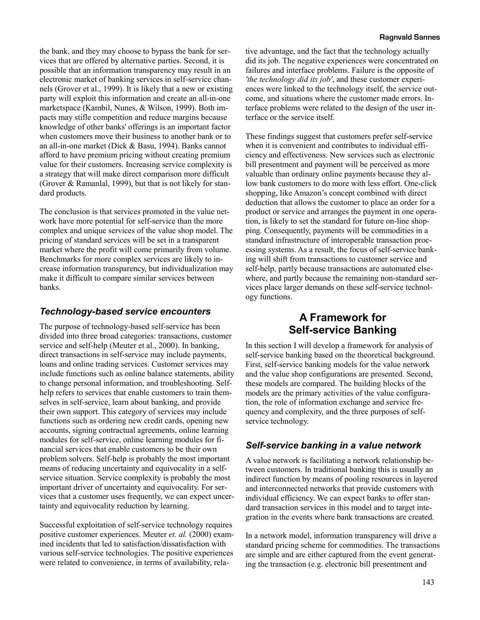the bank, and they may choose to bypass the bank for services that are offered by alternative parties. Second, it is possible that an information transparency may result in an electronic market of banking services in self-service channels (Grover et al., 1999). It is likely that a new or existing party will exploit this information and create an all-in-one marketspace (Kambil, Nunes, & Wilson, 1999). Both impacts may stifle competition and reduce margins because knowledge of other banks' offerings is an important factor when customers move their business to another bank or to an all-in-one market (Dick & Basu, 1994). Banks cannot afford to have premium pricing without creating premium value for their customers. Increasing service complexity is a strategy that will make direct comparison more difficult (Grover & Ramanlal, 1999), but that is not likely for standard products.

The conclusion is that services promoted in the value network have more potential for self-service than the more complex and unique services of the value shop model. The pricing of standard services will be set in a transparent market where the profit will come primarily from volume. Benchmarks for more complex services are likely to increase information transparency, but individualization may make it difficult to compare similar services between banks.

#### *Technology-based service encounters*

The purpose of technology-based self-service has been divided into three broad categories: transactions, customer service and self-help (Meuter et al., 2000). In banking, direct transactions in self-service may include payments, loans and online trading services. Customer services may include functions such as online balance statements, ability to change personal information, and troubleshooting. Selfhelp refers to services that enable customers to train themselves in self-service, learn about banking, and provide their own support. This category of services may include functions such as ordering new credit cards, opening new accounts, signing contractual agreements, online learning modules for self-service, online learning modules for financial services that enable customers to be their own problem solvers. Self-help is probably the most important means of reducing uncertainty and equivocality in a selfservice situation. Service complexity is probably the most important driver of uncertainty and equivocality. For services that a customer uses frequently, we can expect uncertainty and equivocality reduction by learning.

Successful exploitation of self-service technology requires positive customer experiences. Meuter *et. al.* (2000) examined incidents that led to satisfaction/dissatisfaction with various self-service technologies. The positive experiences were related to convenience, in terms of availability, relative advantage, and the fact that the technology actually did its job. The negative experiences were concentrated on failures and interface problems. Failure is the opposite of *'the technology did its job'*, and these customer experiences were linked to the technology itself, the service outcome, and situations where the customer made errors. Interface problems were related to the design of the user interface or the service itself.

These findings suggest that customers prefer self-service when it is convenient and contributes to individual efficiency and effectiveness. New services such as electronic bill presentment and payment will be perceived as more valuable than ordinary online payments because they allow bank customers to do more with less effort. One-click shopping, like Amazon's concept combined with direct deduction that allows the customer to place an order for a product or service and arranges the payment in one operation, is likely to set the standard for future on-line shopping. Consequently, payments will be commodities in a standard infrastructure of interoperable transaction processing systems. As a result, the focus of self-service banking will shift from transactions to customer service and self-help, partly because transactions are automated elsewhere, and partly because the remaining non-standard services place larger demands on these self-service technology functions.

# **A Framework for Self-service Banking**

In this section I will develop a framework for analysis of self-service banking based on the theoretical background. First, self-service banking models for the value network and the value shop configurations are presented. Second, these models are compared. The building blocks of the models are the primary activities of the value configuration, the role of information exchange and service frequency and complexity, and the three purposes of selfservice technology.

#### *Self-service banking in a value network*

A value network is facilitating a network relationship between customers. In traditional banking this is usually an indirect function by means of pooling resources in layered and interconnected networks that provide customers with individual efficiency. We can expect banks to offer standard transaction services in this model and to target integration in the events where bank transactions are created.

In a network model, information transparency will drive a standard pricing scheme for commodities. The transactions are simple and are either captured from the event generating the transaction (e.g. electronic bill presentment and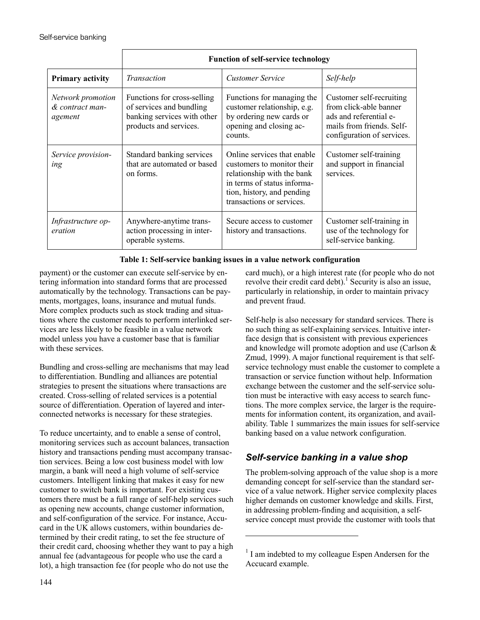|                                                 | <b>Function of self-service technology</b>                                                                       |                                                                                                                                                                                   |                                                                                                                                         |
|-------------------------------------------------|------------------------------------------------------------------------------------------------------------------|-----------------------------------------------------------------------------------------------------------------------------------------------------------------------------------|-----------------------------------------------------------------------------------------------------------------------------------------|
| <b>Primary activity</b>                         | Transaction                                                                                                      | <b>Customer Service</b>                                                                                                                                                           | Self-help                                                                                                                               |
| Network promotion<br>& contract man-<br>agement | Functions for cross-selling<br>of services and bundling<br>banking services with other<br>products and services. | Functions for managing the<br>customer relationship, e.g.<br>by ordering new cards or<br>opening and closing ac-<br>counts.                                                       | Customer self-recruiting<br>from click-able banner<br>ads and referential e-<br>mails from friends. Self-<br>configuration of services. |
| Service provision-<br>ing                       | Standard banking services<br>that are automated or based<br>on forms.                                            | Online services that enable<br>customers to monitor their<br>relationship with the bank<br>in terms of status informa-<br>tion, history, and pending<br>transactions or services. | Customer self-training<br>and support in financial<br>services.                                                                         |
| Infrastructure op-<br>eration                   | Anywhere-anytime trans-<br>action processing in inter-<br>operable systems.                                      | Secure access to customer<br>history and transactions.                                                                                                                            | Customer self-training in<br>use of the technology for<br>self-service banking.                                                         |

#### **Table 1: Self-service banking issues in a value network configuration**

l

payment) or the customer can execute self-service by entering information into standard forms that are processed automatically by the technology. Transactions can be payments, mortgages, loans, insurance and mutual funds. More complex products such as stock trading and situations where the customer needs to perform interlinked services are less likely to be feasible in a value network model unless you have a customer base that is familiar with these services.

Bundling and cross-selling are mechanisms that may lead to differentiation. Bundling and alliances are potential strategies to present the situations where transactions are created. Cross-selling of related services is a potential source of differentiation. Operation of layered and interconnected networks is necessary for these strategies.

To reduce uncertainty, and to enable a sense of control, monitoring services such as account balances, transaction history and transactions pending must accompany transaction services. Being a low cost business model with low margin, a bank will need a high volume of self-service customers. Intelligent linking that makes it easy for new customer to switch bank is important. For existing customers there must be a full range of self-help services such as opening new accounts, change customer information, and self-configuration of the service. For instance, Accucard in the UK allows customers, within boundaries determined by their credit rating, to set the fee structure of their credit card, choosing whether they want to pay a high annual fee (advantageous for people who use the card a lot), a high transaction fee (for people who do not use the

card much), or a high interest rate (for people who do not revolve their credit card debt).<sup>1</sup> Security is also an issue, particularly in relationship, in order to maintain privacy and prevent fraud.

Self-help is also necessary for standard services. There is no such thing as self-explaining services. Intuitive interface design that is consistent with previous experiences and knowledge will promote adoption and use (Carlson & Zmud, 1999). A major functional requirement is that selfservice technology must enable the customer to complete a transaction or service function without help. Information exchange between the customer and the self-service solution must be interactive with easy access to search functions. The more complex service, the larger is the requirements for information content, its organization, and availability. Table 1 summarizes the main issues for self-service banking based on a value network configuration.

### *Self-service banking in a value shop*

The problem-solving approach of the value shop is a more demanding concept for self-service than the standard service of a value network. Higher service complexity places higher demands on customer knowledge and skills. First, in addressing problem-finding and acquisition, a selfservice concept must provide the customer with tools that

<sup>&</sup>lt;sup>1</sup> I am indebted to my colleague Espen Andersen for the Accucard example.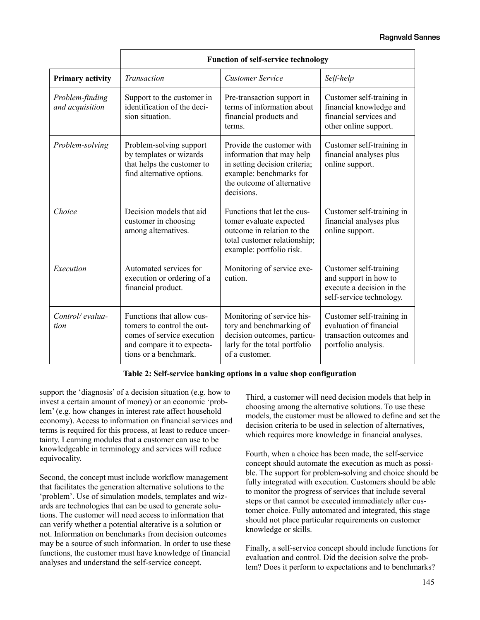|                                    | <b>Function of self-service technology</b>                                                                                                   |                                                                                                                                                                |                                                                                                          |
|------------------------------------|----------------------------------------------------------------------------------------------------------------------------------------------|----------------------------------------------------------------------------------------------------------------------------------------------------------------|----------------------------------------------------------------------------------------------------------|
| <b>Primary activity</b>            | Transaction                                                                                                                                  | <b>Customer Service</b>                                                                                                                                        | Self-help                                                                                                |
| Problem-finding<br>and acquisition | Support to the customer in<br>identification of the deci-<br>sion situation.                                                                 | Pre-transaction support in<br>terms of information about<br>financial products and<br>terms.                                                                   | Customer self-training in<br>financial knowledge and<br>financial services and<br>other online support.  |
| Problem-solving                    | Problem-solving support<br>by templates or wizards<br>that helps the customer to<br>find alternative options.                                | Provide the customer with<br>information that may help<br>in setting decision criteria;<br>example: benchmarks for<br>the outcome of alternative<br>decisions. | Customer self-training in<br>financial analyses plus<br>online support.                                  |
| Choice                             | Decision models that aid<br>customer in choosing<br>among alternatives.                                                                      | Functions that let the cus-<br>tomer evaluate expected<br>outcome in relation to the<br>total customer relationship;<br>example: portfolio risk.               | Customer self-training in<br>financial analyses plus<br>online support.                                  |
| Execution                          | Automated services for<br>execution or ordering of a<br>financial product.                                                                   | Monitoring of service exe-<br>cution.                                                                                                                          | Customer self-training<br>and support in how to<br>execute a decision in the<br>self-service technology. |
| Control/evalua-<br>tion            | Functions that allow cus-<br>tomers to control the out-<br>comes of service execution<br>and compare it to expecta-<br>tions or a benchmark. | Monitoring of service his-<br>tory and benchmarking of<br>decision outcomes, particu-<br>larly for the total portfolio<br>of a customer.                       | Customer self-training in<br>evaluation of financial<br>transaction outcomes and<br>portfolio analysis.  |

#### **Table 2: Self-service banking options in a value shop configuration**

support the 'diagnosis' of a decision situation (e.g. how to invest a certain amount of money) or an economic 'problem' (e.g. how changes in interest rate affect household economy). Access to information on financial services and terms is required for this process, at least to reduce uncertainty. Learning modules that a customer can use to be knowledgeable in terminology and services will reduce equivocality.

Second, the concept must include workflow management that facilitates the generation alternative solutions to the 'problem'. Use of simulation models, templates and wizards are technologies that can be used to generate solutions. The customer will need access to information that can verify whether a potential alterative is a solution or not. Information on benchmarks from decision outcomes may be a source of such information. In order to use these functions, the customer must have knowledge of financial analyses and understand the self-service concept.

Third, a customer will need decision models that help in choosing among the alternative solutions. To use these models, the customer must be allowed to define and set the decision criteria to be used in selection of alternatives, which requires more knowledge in financial analyses.

Fourth, when a choice has been made, the self-service concept should automate the execution as much as possible. The support for problem-solving and choice should be fully integrated with execution. Customers should be able to monitor the progress of services that include several steps or that cannot be executed immediately after customer choice. Fully automated and integrated, this stage should not place particular requirements on customer knowledge or skills.

Finally, a self-service concept should include functions for evaluation and control. Did the decision solve the problem? Does it perform to expectations and to benchmarks?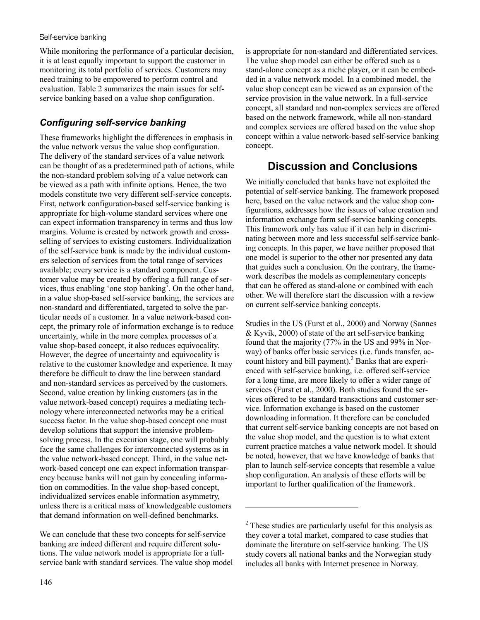While monitoring the performance of a particular decision, it is at least equally important to support the customer in monitoring its total portfolio of services. Customers may need training to be empowered to perform control and evaluation. Table 2 summarizes the main issues for selfservice banking based on a value shop configuration.

## *Configuring self-service banking*

These frameworks highlight the differences in emphasis in the value network versus the value shop configuration. The delivery of the standard services of a value network can be thought of as a predetermined path of actions, while the non-standard problem solving of a value network can be viewed as a path with infinite options. Hence, the two models constitute two very different self-service concepts. First, network configuration-based self-service banking is appropriate for high-volume standard services where one can expect information transparency in terms and thus low margins. Volume is created by network growth and crossselling of services to existing customers. Individualization of the self-service bank is made by the individual customers selection of services from the total range of services available; every service is a standard component. Customer value may be created by offering a full range of services, thus enabling 'one stop banking'. On the other hand, in a value shop-based self-service banking, the services are non-standard and differentiated, targeted to solve the particular needs of a customer. In a value network-based concept, the primary role of information exchange is to reduce uncertainty, while in the more complex processes of a value shop-based concept, it also reduces equivocality. However, the degree of uncertainty and equivocality is relative to the customer knowledge and experience. It may therefore be difficult to draw the line between standard and non-standard services as perceived by the customers. Second, value creation by linking customers (as in the value network-based concept) requires a mediating technology where interconnected networks may be a critical success factor. In the value shop-based concept one must develop solutions that support the intensive problemsolving process. In the execution stage, one will probably face the same challenges for interconnected systems as in the value network-based concept. Third, in the value network-based concept one can expect information transparency because banks will not gain by concealing information on commodities. In the value shop-based concept, individualized services enable information asymmetry, unless there is a critical mass of knowledgeable customers that demand information on well-defined benchmarks.

We can conclude that these two concepts for self-service banking are indeed different and require different solutions. The value network model is appropriate for a fullservice bank with standard services. The value shop model is appropriate for non-standard and differentiated services. The value shop model can either be offered such as a stand-alone concept as a niche player, or it can be embedded in a value network model. In a combined model, the value shop concept can be viewed as an expansion of the service provision in the value network. In a full-service concept, all standard and non-complex services are offered based on the network framework, while all non-standard and complex services are offered based on the value shop concept within a value network-based self-service banking concept.

# **Discussion and Conclusions**

We initially concluded that banks have not exploited the potential of self-service banking. The framework proposed here, based on the value network and the value shop configurations, addresses how the issues of value creation and information exchange form self-service banking concepts. This framework only has value if it can help in discriminating between more and less successful self-service banking concepts. In this paper, we have neither proposed that one model is superior to the other nor presented any data that guides such a conclusion. On the contrary, the framework describes the models as complementary concepts that can be offered as stand-alone or combined with each other. We will therefore start the discussion with a review on current self-service banking concepts.

Studies in the US (Furst et al., 2000) and Norway (Sannes & Kyvik, 2000) of state of the art self-service banking found that the majority (77% in the US and 99% in Norway) of banks offer basic services (i.e. funds transfer, account history and bill payment). $^2$  Banks that are experienced with self-service banking, i.e. offered self-service for a long time, are more likely to offer a wider range of services (Furst et al., 2000). Both studies found the services offered to be standard transactions and customer service. Information exchange is based on the customer downloading information. It therefore can be concluded that current self-service banking concepts are not based on the value shop model, and the question is to what extent current practice matches a value network model. It should be noted, however, that we have knowledge of banks that plan to launch self-service concepts that resemble a value shop configuration. An analysis of these efforts will be important to further qualification of the framework.

 $\overline{a}$ 

 $2^2$  These studies are particularly useful for this analysis as they cover a total market, compared to case studies that dominate the literature on self-service banking. The US study covers all national banks and the Norwegian study includes all banks with Internet presence in Norway.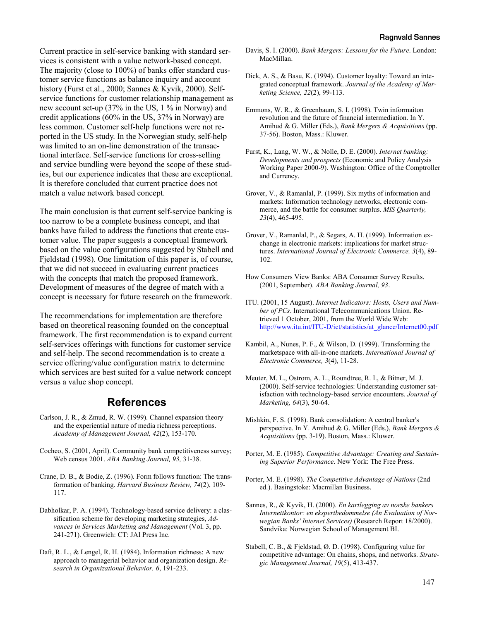Current practice in self-service banking with standard services is consistent with a value network-based concept. The majority (close to 100%) of banks offer standard customer service functions as balance inquiry and account history (Furst et al., 2000; Sannes & Kyvik, 2000). Selfservice functions for customer relationship management as new account set-up (37% in the US, 1 % in Norway) and credit applications (60% in the US, 37% in Norway) are less common. Customer self-help functions were not reported in the US study. In the Norwegian study, self-help was limited to an on-line demonstration of the transactional interface. Self-service functions for cross-selling and service bundling were beyond the scope of these studies, but our experience indicates that these are exceptional. It is therefore concluded that current practice does not match a value network based concept.

The main conclusion is that current self-service banking is too narrow to be a complete business concept, and that banks have failed to address the functions that create customer value. The paper suggests a conceptual framework based on the value configurations suggested by Stabell and Fjeldstad (1998). One limitation of this paper is, of course, that we did not succeed in evaluating current practices with the concepts that match the proposed framework. Development of measures of the degree of match with a concept is necessary for future research on the framework.

The recommendations for implementation are therefore based on theoretical reasoning founded on the conceptual framework. The first recommendation is to expand current self-services offerings with functions for customer service and self-help. The second recommendation is to create a service offering/value configuration matrix to determine which services are best suited for a value network concept versus a value shop concept.

#### **References**

- Carlson, J. R., & Zmud, R. W. (1999). Channel expansion theory and the experiential nature of media richness perceptions. *Academy of Management Journal, 42*(2), 153-170.
- Cocheo, S. (2001, April). Community bank competitiveness survey; Web census 2001. *ABA Banking Journal, 93,* 31-38.
- Crane, D. B., & Bodie, Z. (1996). Form follows function: The transformation of banking. *Harvard Business Review, 74*(2), 109- 117.
- Dabholkar, P. A. (1994). Technology-based service delivery: a classification scheme for developing marketing strategies, *Advances in Services Marketing and Management* (Vol. 3, pp. 241-271). Greenwich: CT: JAI Press Inc.
- Daft, R. L., & Lengel, R. H. (1984). Information richness: A new approach to managerial behavior and organization design. *Research in Organizational Behavior, 6*, 191-233.
- Davis, S. I. (2000). *Bank Mergers: Lessons for the Future*. London: MacMillan.
- Dick, A. S., & Basu, K. (1994). Customer loyalty: Toward an integrated conceptual framework. *Journal of the Academy of Marketing Science, 22*(2), 99-113.
- Emmons, W. R., & Greenbaum, S. I. (1998). Twin informaiton revolution and the future of financial intermediation. In Y. Amihud & G. Miller (Eds.), *Bank Mergers & Acquisitions* (pp. 37-56). Boston, Mass.: Kluwer.
- Furst, K., Lang, W. W., & Nolle, D. E. (2000). *Internet banking: Developments and prospects* (Economic and Policy Analysis Working Paper 2000-9). Washington: Office of the Comptroller and Currency.
- Grover, V., & Ramanlal, P. (1999). Six myths of information and markets: Information technology networks, electronic commerce, and the battle for consumer surplus. *MIS Quarterly, 23*(4), 465-495.
- Grover, V., Ramanlal, P., & Segars, A. H. (1999). Information exchange in electronic markets: implications for market structures. *International Journal of Electronic Commerce, 3*(4), 89- 102.
- How Consumers View Banks: ABA Consumer Survey Results. (2001, September). *ABA Banking Journal, 93*.
- ITU. (2001, 15 August). *Internet Indicators: Hosts, Users and Number of PCs*. International Telecommunications Union. Retrieved 1 October, 2001, from the World Wide Web: [http://www.itu.int/ITU-D/ict/statistics/at\\_glance/Internet00.pdf](http://www.itu.int/ITU-D/ict/statistics/at_glance/Internet00.pdf)
- Kambil, A., Nunes, P. F., & Wilson, D. (1999). Transforming the marketspace with all-in-one markets. *International Journal of Electronic Commerce, 3*(4), 11-28.
- Meuter, M. L., Ostrom, A. L., Roundtree, R. I., & Bitner, M. J. (2000). Self-service technologies: Understanding customer satisfaction with technology-based service encounters. *Journal of Marketing, 64*(3), 50-64.
- Mishkin, F. S. (1998). Bank consolidation: A central banker's perspective. In Y. Amihud & G. Miller (Eds.), *Bank Mergers & Acquisitions* (pp. 3-19). Boston, Mass.: Kluwer.
- Porter, M. E. (1985). *Competitive Advantage: Creating and Sustaining Superior Performance*. New York: The Free Press.
- Porter, M. E. (1998). *The Competitive Advantage of Nations* (2nd ed.). Basingstoke: Macmillan Business.
- Sannes, R., & Kyvik, H. (2000). *En kartlegging av norske bankers Internettkontor: en ekspertbedømmelse (An Evaluation of Norwegian Banks' Internet Services)* (Research Report 18/2000). Sandvika: Norwegian School of Management BI.
- Stabell, C. B., & Fjeldstad, Ø. D. (1998). Configuring value for competitive advantage: On chains, shops, and networks. *Strategic Management Journal, 19*(5), 413-437.